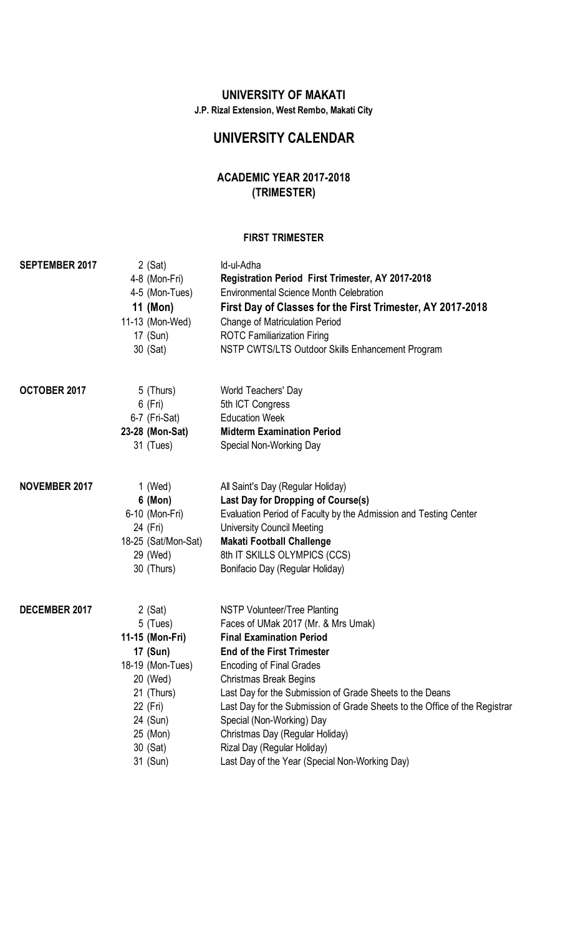## **UNIVERSITY OF MAKATI**

**J.P. Rizal Extension, West Rembo, Makati City**

# **UNIVERSITY CALENDAR**

# **ACADEMIC YEAR 2017-2018 (TRIMESTER)**

#### **FIRST TRIMESTER**

| <b>SEPTEMBER 2017</b> | $2$ (Sat)<br>4-8 (Mon-Fri)<br>4-5 (Mon-Tues)<br>11 (Mon)<br>11-13 (Mon-Wed)<br>17 (Sun)<br>30 (Sat)                                                            | Id-ul-Adha<br>Registration Period First Trimester, AY 2017-2018<br><b>Environmental Science Month Celebration</b><br>First Day of Classes for the First Trimester, AY 2017-2018<br><b>Change of Matriculation Period</b><br><b>ROTC Familiarization Firing</b><br>NSTP CWTS/LTS Outdoor Skills Enhancement Program                                                                                                                                                                                         |
|-----------------------|----------------------------------------------------------------------------------------------------------------------------------------------------------------|------------------------------------------------------------------------------------------------------------------------------------------------------------------------------------------------------------------------------------------------------------------------------------------------------------------------------------------------------------------------------------------------------------------------------------------------------------------------------------------------------------|
| OCTOBER 2017          | 5 (Thurs)<br>$6$ (Fri)<br>6-7 (Fri-Sat)<br>23-28 (Mon-Sat)<br>31 (Tues)                                                                                        | World Teachers' Day<br>5th ICT Congress<br><b>Education Week</b><br><b>Midterm Examination Period</b><br>Special Non-Working Day                                                                                                                                                                                                                                                                                                                                                                           |
| <b>NOVEMBER 2017</b>  | 1 (Wed)<br>$6 \text{ (Mon)}$<br>6-10 (Mon-Fri)<br>24 (Fri)<br>18-25 (Sat/Mon-Sat)<br>29 (Wed)<br>30 (Thurs)                                                    | All Saint's Day (Regular Holiday)<br>Last Day for Dropping of Course(s)<br>Evaluation Period of Faculty by the Admission and Testing Center<br><b>University Council Meeting</b><br><b>Makati Football Challenge</b><br>8th IT SKILLS OLYMPICS (CCS)<br>Bonifacio Day (Regular Holiday)                                                                                                                                                                                                                    |
| DECEMBER 2017         | $2$ (Sat)<br>5 (Tues)<br>11-15 (Mon-Fri)<br>17 (Sun)<br>18-19 (Mon-Tues)<br>20 (Wed)<br>21 (Thurs)<br>22 (Fri)<br>24 (Sun)<br>25 (Mon)<br>30 (Sat)<br>31 (Sun) | NSTP Volunteer/Tree Planting<br>Faces of UMak 2017 (Mr. & Mrs Umak)<br><b>Final Examination Period</b><br><b>End of the First Trimester</b><br><b>Encoding of Final Grades</b><br><b>Christmas Break Begins</b><br>Last Day for the Submission of Grade Sheets to the Deans<br>Last Day for the Submission of Grade Sheets to the Office of the Registrar<br>Special (Non-Working) Day<br>Christmas Day (Regular Holiday)<br>Rizal Day (Regular Holiday)<br>Last Day of the Year (Special Non-Working Day) |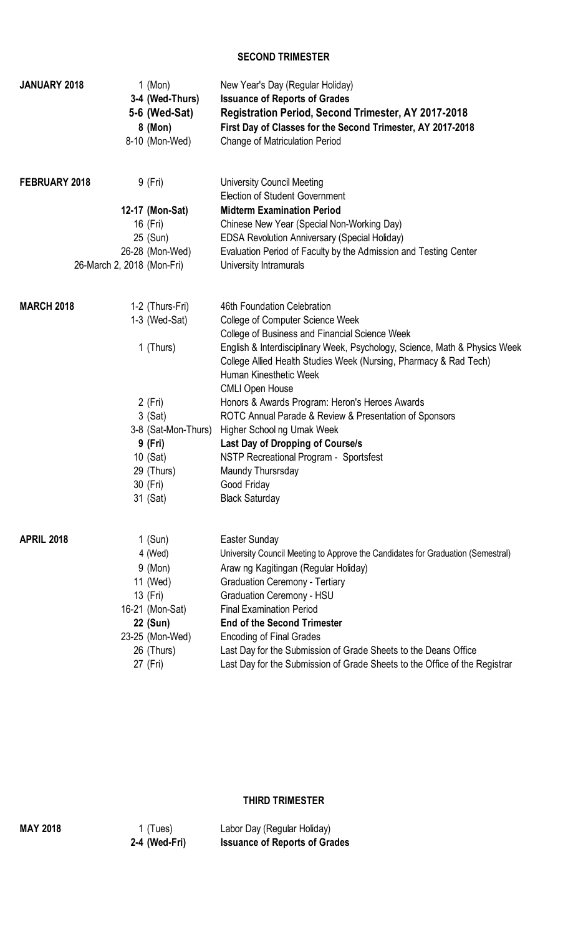#### **SECOND TRIMESTER**

| <b>University Council Meeting</b><br>FEBRUARY 2018<br>9 (Fri)<br><b>Election of Student Government</b><br>12-17 (Mon-Sat)<br><b>Midterm Examination Period</b><br>16 (Fri)<br>Chinese New Year (Special Non-Working Day)<br>25 (Sun)<br><b>EDSA Revolution Anniversary (Special Holiday)</b><br>26-28 (Mon-Wed)<br>Evaluation Period of Faculty by the Admission and Testing Center<br>26-March 2, 2018 (Mon-Fri)<br>University Intramurals<br><b>MARCH 2018</b><br>1-2 (Thurs-Fri)<br>46th Foundation Celebration<br>$1-3$ (Wed-Sat)<br>College of Computer Science Week<br>College of Business and Financial Science Week<br>1 (Thurs)<br>English & Interdisciplinary Week, Psychology, Science, Math & Physics Week<br>College Allied Health Studies Week (Nursing, Pharmacy & Rad Tech)<br>Human Kinesthetic Week<br><b>CMLI Open House</b><br>2 (Fri)<br>Honors & Awards Program: Heron's Heroes Awards<br>3 (Sat)<br>ROTC Annual Parade & Review & Presentation of Sponsors<br>3-8 (Sat-Mon-Thurs)<br>Higher School ng Umak Week<br>9 (Fri)<br><b>Last Day of Dropping of Course/s</b><br>10 (Sat)<br>NSTP Recreational Program - Sportsfest<br>29 (Thurs)<br>Maundy Thursrsday<br>30 (Fri)<br>Good Friday<br>31 (Sat)<br><b>Black Saturday</b><br><b>APRIL 2018</b><br>1 $(Sun)$<br>Easter Sunday<br>4 (Wed)<br>University Council Meeting to Approve the Candidates for Graduation (Semestral)<br>$9 \ (Mon)$<br>Araw ng Kagitingan (Regular Holiday)<br><b>Graduation Ceremony - Tertiary</b><br>11 (Wed)<br>13 (Fri)<br><b>Graduation Ceremony - HSU</b><br><b>Final Examination Period</b><br>16-21 (Mon-Sat)<br><b>End of the Second Trimester</b><br>22 (Sun)<br>23-25 (Mon-Wed)<br><b>Encoding of Final Grades</b><br>26 (Thurs)<br>Last Day for the Submission of Grade Sheets to the Deans Office<br>Last Day for the Submission of Grade Sheets to the Office of the Registrar<br>27 (Fri) | <b>JANUARY 2018</b> | 1 (Mon)<br>3-4 (Wed-Thurs)<br>5-6 (Wed-Sat)<br>8 (Mon)<br>8-10 (Mon-Wed) | New Year's Day (Regular Holiday)<br><b>Issuance of Reports of Grades</b><br><b>Registration Period, Second Trimester, AY 2017-2018</b><br>First Day of Classes for the Second Trimester, AY 2017-2018<br><b>Change of Matriculation Period</b> |
|-------------------------------------------------------------------------------------------------------------------------------------------------------------------------------------------------------------------------------------------------------------------------------------------------------------------------------------------------------------------------------------------------------------------------------------------------------------------------------------------------------------------------------------------------------------------------------------------------------------------------------------------------------------------------------------------------------------------------------------------------------------------------------------------------------------------------------------------------------------------------------------------------------------------------------------------------------------------------------------------------------------------------------------------------------------------------------------------------------------------------------------------------------------------------------------------------------------------------------------------------------------------------------------------------------------------------------------------------------------------------------------------------------------------------------------------------------------------------------------------------------------------------------------------------------------------------------------------------------------------------------------------------------------------------------------------------------------------------------------------------------------------------------------------------------------------------------------------------------------------------------------------------------------|---------------------|--------------------------------------------------------------------------|------------------------------------------------------------------------------------------------------------------------------------------------------------------------------------------------------------------------------------------------|
|                                                                                                                                                                                                                                                                                                                                                                                                                                                                                                                                                                                                                                                                                                                                                                                                                                                                                                                                                                                                                                                                                                                                                                                                                                                                                                                                                                                                                                                                                                                                                                                                                                                                                                                                                                                                                                                                                                             |                     |                                                                          |                                                                                                                                                                                                                                                |
|                                                                                                                                                                                                                                                                                                                                                                                                                                                                                                                                                                                                                                                                                                                                                                                                                                                                                                                                                                                                                                                                                                                                                                                                                                                                                                                                                                                                                                                                                                                                                                                                                                                                                                                                                                                                                                                                                                             |                     |                                                                          |                                                                                                                                                                                                                                                |
|                                                                                                                                                                                                                                                                                                                                                                                                                                                                                                                                                                                                                                                                                                                                                                                                                                                                                                                                                                                                                                                                                                                                                                                                                                                                                                                                                                                                                                                                                                                                                                                                                                                                                                                                                                                                                                                                                                             |                     |                                                                          |                                                                                                                                                                                                                                                |
|                                                                                                                                                                                                                                                                                                                                                                                                                                                                                                                                                                                                                                                                                                                                                                                                                                                                                                                                                                                                                                                                                                                                                                                                                                                                                                                                                                                                                                                                                                                                                                                                                                                                                                                                                                                                                                                                                                             |                     |                                                                          |                                                                                                                                                                                                                                                |
|                                                                                                                                                                                                                                                                                                                                                                                                                                                                                                                                                                                                                                                                                                                                                                                                                                                                                                                                                                                                                                                                                                                                                                                                                                                                                                                                                                                                                                                                                                                                                                                                                                                                                                                                                                                                                                                                                                             |                     |                                                                          |                                                                                                                                                                                                                                                |
|                                                                                                                                                                                                                                                                                                                                                                                                                                                                                                                                                                                                                                                                                                                                                                                                                                                                                                                                                                                                                                                                                                                                                                                                                                                                                                                                                                                                                                                                                                                                                                                                                                                                                                                                                                                                                                                                                                             |                     |                                                                          |                                                                                                                                                                                                                                                |
|                                                                                                                                                                                                                                                                                                                                                                                                                                                                                                                                                                                                                                                                                                                                                                                                                                                                                                                                                                                                                                                                                                                                                                                                                                                                                                                                                                                                                                                                                                                                                                                                                                                                                                                                                                                                                                                                                                             |                     |                                                                          |                                                                                                                                                                                                                                                |
|                                                                                                                                                                                                                                                                                                                                                                                                                                                                                                                                                                                                                                                                                                                                                                                                                                                                                                                                                                                                                                                                                                                                                                                                                                                                                                                                                                                                                                                                                                                                                                                                                                                                                                                                                                                                                                                                                                             |                     |                                                                          |                                                                                                                                                                                                                                                |
|                                                                                                                                                                                                                                                                                                                                                                                                                                                                                                                                                                                                                                                                                                                                                                                                                                                                                                                                                                                                                                                                                                                                                                                                                                                                                                                                                                                                                                                                                                                                                                                                                                                                                                                                                                                                                                                                                                             |                     |                                                                          |                                                                                                                                                                                                                                                |
|                                                                                                                                                                                                                                                                                                                                                                                                                                                                                                                                                                                                                                                                                                                                                                                                                                                                                                                                                                                                                                                                                                                                                                                                                                                                                                                                                                                                                                                                                                                                                                                                                                                                                                                                                                                                                                                                                                             |                     |                                                                          |                                                                                                                                                                                                                                                |
|                                                                                                                                                                                                                                                                                                                                                                                                                                                                                                                                                                                                                                                                                                                                                                                                                                                                                                                                                                                                                                                                                                                                                                                                                                                                                                                                                                                                                                                                                                                                                                                                                                                                                                                                                                                                                                                                                                             |                     |                                                                          |                                                                                                                                                                                                                                                |
|                                                                                                                                                                                                                                                                                                                                                                                                                                                                                                                                                                                                                                                                                                                                                                                                                                                                                                                                                                                                                                                                                                                                                                                                                                                                                                                                                                                                                                                                                                                                                                                                                                                                                                                                                                                                                                                                                                             |                     |                                                                          |                                                                                                                                                                                                                                                |
|                                                                                                                                                                                                                                                                                                                                                                                                                                                                                                                                                                                                                                                                                                                                                                                                                                                                                                                                                                                                                                                                                                                                                                                                                                                                                                                                                                                                                                                                                                                                                                                                                                                                                                                                                                                                                                                                                                             |                     |                                                                          |                                                                                                                                                                                                                                                |
|                                                                                                                                                                                                                                                                                                                                                                                                                                                                                                                                                                                                                                                                                                                                                                                                                                                                                                                                                                                                                                                                                                                                                                                                                                                                                                                                                                                                                                                                                                                                                                                                                                                                                                                                                                                                                                                                                                             |                     |                                                                          |                                                                                                                                                                                                                                                |
|                                                                                                                                                                                                                                                                                                                                                                                                                                                                                                                                                                                                                                                                                                                                                                                                                                                                                                                                                                                                                                                                                                                                                                                                                                                                                                                                                                                                                                                                                                                                                                                                                                                                                                                                                                                                                                                                                                             |                     |                                                                          |                                                                                                                                                                                                                                                |
|                                                                                                                                                                                                                                                                                                                                                                                                                                                                                                                                                                                                                                                                                                                                                                                                                                                                                                                                                                                                                                                                                                                                                                                                                                                                                                                                                                                                                                                                                                                                                                                                                                                                                                                                                                                                                                                                                                             |                     |                                                                          |                                                                                                                                                                                                                                                |
|                                                                                                                                                                                                                                                                                                                                                                                                                                                                                                                                                                                                                                                                                                                                                                                                                                                                                                                                                                                                                                                                                                                                                                                                                                                                                                                                                                                                                                                                                                                                                                                                                                                                                                                                                                                                                                                                                                             |                     |                                                                          |                                                                                                                                                                                                                                                |
|                                                                                                                                                                                                                                                                                                                                                                                                                                                                                                                                                                                                                                                                                                                                                                                                                                                                                                                                                                                                                                                                                                                                                                                                                                                                                                                                                                                                                                                                                                                                                                                                                                                                                                                                                                                                                                                                                                             |                     |                                                                          |                                                                                                                                                                                                                                                |
|                                                                                                                                                                                                                                                                                                                                                                                                                                                                                                                                                                                                                                                                                                                                                                                                                                                                                                                                                                                                                                                                                                                                                                                                                                                                                                                                                                                                                                                                                                                                                                                                                                                                                                                                                                                                                                                                                                             |                     |                                                                          |                                                                                                                                                                                                                                                |
|                                                                                                                                                                                                                                                                                                                                                                                                                                                                                                                                                                                                                                                                                                                                                                                                                                                                                                                                                                                                                                                                                                                                                                                                                                                                                                                                                                                                                                                                                                                                                                                                                                                                                                                                                                                                                                                                                                             |                     |                                                                          |                                                                                                                                                                                                                                                |
|                                                                                                                                                                                                                                                                                                                                                                                                                                                                                                                                                                                                                                                                                                                                                                                                                                                                                                                                                                                                                                                                                                                                                                                                                                                                                                                                                                                                                                                                                                                                                                                                                                                                                                                                                                                                                                                                                                             |                     |                                                                          |                                                                                                                                                                                                                                                |
|                                                                                                                                                                                                                                                                                                                                                                                                                                                                                                                                                                                                                                                                                                                                                                                                                                                                                                                                                                                                                                                                                                                                                                                                                                                                                                                                                                                                                                                                                                                                                                                                                                                                                                                                                                                                                                                                                                             |                     |                                                                          |                                                                                                                                                                                                                                                |
|                                                                                                                                                                                                                                                                                                                                                                                                                                                                                                                                                                                                                                                                                                                                                                                                                                                                                                                                                                                                                                                                                                                                                                                                                                                                                                                                                                                                                                                                                                                                                                                                                                                                                                                                                                                                                                                                                                             |                     |                                                                          |                                                                                                                                                                                                                                                |
|                                                                                                                                                                                                                                                                                                                                                                                                                                                                                                                                                                                                                                                                                                                                                                                                                                                                                                                                                                                                                                                                                                                                                                                                                                                                                                                                                                                                                                                                                                                                                                                                                                                                                                                                                                                                                                                                                                             |                     |                                                                          |                                                                                                                                                                                                                                                |
|                                                                                                                                                                                                                                                                                                                                                                                                                                                                                                                                                                                                                                                                                                                                                                                                                                                                                                                                                                                                                                                                                                                                                                                                                                                                                                                                                                                                                                                                                                                                                                                                                                                                                                                                                                                                                                                                                                             |                     |                                                                          |                                                                                                                                                                                                                                                |
|                                                                                                                                                                                                                                                                                                                                                                                                                                                                                                                                                                                                                                                                                                                                                                                                                                                                                                                                                                                                                                                                                                                                                                                                                                                                                                                                                                                                                                                                                                                                                                                                                                                                                                                                                                                                                                                                                                             |                     |                                                                          |                                                                                                                                                                                                                                                |
|                                                                                                                                                                                                                                                                                                                                                                                                                                                                                                                                                                                                                                                                                                                                                                                                                                                                                                                                                                                                                                                                                                                                                                                                                                                                                                                                                                                                                                                                                                                                                                                                                                                                                                                                                                                                                                                                                                             |                     |                                                                          |                                                                                                                                                                                                                                                |
|                                                                                                                                                                                                                                                                                                                                                                                                                                                                                                                                                                                                                                                                                                                                                                                                                                                                                                                                                                                                                                                                                                                                                                                                                                                                                                                                                                                                                                                                                                                                                                                                                                                                                                                                                                                                                                                                                                             |                     |                                                                          |                                                                                                                                                                                                                                                |
|                                                                                                                                                                                                                                                                                                                                                                                                                                                                                                                                                                                                                                                                                                                                                                                                                                                                                                                                                                                                                                                                                                                                                                                                                                                                                                                                                                                                                                                                                                                                                                                                                                                                                                                                                                                                                                                                                                             |                     |                                                                          |                                                                                                                                                                                                                                                |
|                                                                                                                                                                                                                                                                                                                                                                                                                                                                                                                                                                                                                                                                                                                                                                                                                                                                                                                                                                                                                                                                                                                                                                                                                                                                                                                                                                                                                                                                                                                                                                                                                                                                                                                                                                                                                                                                                                             |                     |                                                                          |                                                                                                                                                                                                                                                |

### **THIRD TRIMESTER**

| <b>MAY 2018</b> | 1 (Tues)      | Labor Day (Regular Holiday)          |
|-----------------|---------------|--------------------------------------|
|                 | 2-4 (Wed-Fri) | <b>Issuance of Reports of Grades</b> |